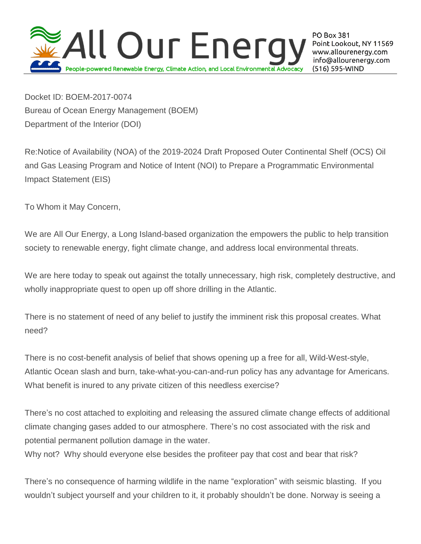

**PO Box 381** Point Lookout, NY 11569 www.allourenergy.com info@allourenergy.com (516) 595-WIND

Docket ID: BOEM-2017-0074 Bureau of Ocean Energy Management (BOEM) Department of the Interior (DOI)

Re:Notice of Availability (NOA) of the 2019-2024 Draft Proposed Outer Continental Shelf (OCS) Oil and Gas Leasing Program and Notice of Intent (NOI) to Prepare a Programmatic Environmental Impact Statement (EIS)

To Whom it May Concern,

We are All Our Energy, a Long Island-based organization the empowers the public to help transition society to renewable energy, fight climate change, and address local environmental threats.

We are here today to speak out against the totally unnecessary, high risk, completely destructive, and wholly inappropriate quest to open up off shore drilling in the Atlantic.

There is no statement of need of any belief to justify the imminent risk this proposal creates. What need?

There is no cost-benefit analysis of belief that shows opening up a free for all, Wild-West-style, Atlantic Ocean slash and burn, take-what-you-can-and-run policy has any advantage for Americans. What benefit is inured to any private citizen of this needless exercise?

There's no cost attached to exploiting and releasing the assured climate change effects of additional climate changing gases added to our atmosphere. There's no cost associated with the risk and potential permanent pollution damage in the water.

Why not? Why should everyone else besides the profiteer pay that cost and bear that risk?

There's no consequence of harming wildlife in the name "exploration" with seismic blasting. If you wouldn't subject yourself and your children to it, it probably shouldn't be done. Norway is seeing a